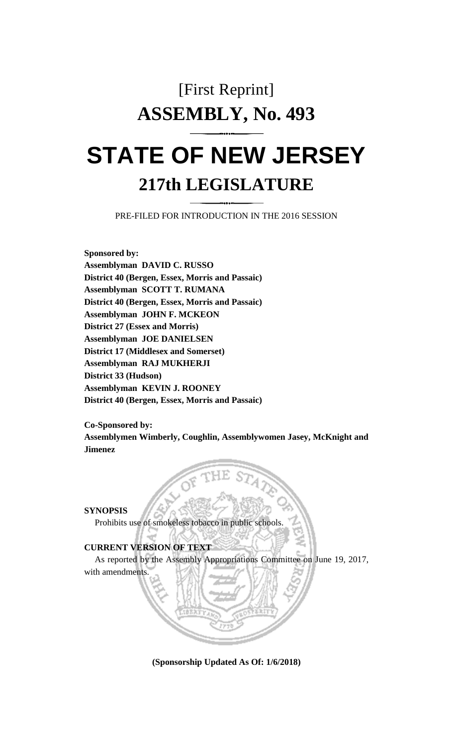## [First Reprint] **ASSEMBLY, No. 493 STATE OF NEW JERSEY**

## **217th LEGISLATURE**

PRE-FILED FOR INTRODUCTION IN THE 2016 SESSION

**Sponsored by: Assemblyman DAVID C. RUSSO District 40 (Bergen, Essex, Morris and Passaic) Assemblyman SCOTT T. RUMANA District 40 (Bergen, Essex, Morris and Passaic) Assemblyman JOHN F. MCKEON District 27 (Essex and Morris) Assemblyman JOE DANIELSEN District 17 (Middlesex and Somerset) Assemblyman RAJ MUKHERJI District 33 (Hudson) Assemblyman KEVIN J. ROONEY District 40 (Bergen, Essex, Morris and Passaic)**

**Co-Sponsored by: Assemblymen Wimberly, Coughlin, Assemblywomen Jasey, McKnight and Jimenez**

**SYNOPSIS**

Prohibits use of smokeless tobacco in public schools.

**CURRENT VERSION OF TEXT** 

As reported by the Assembly Appropriations Committee on June 19, 2017, with amendments.

**(Sponsorship Updated As Of: 1/6/2018)**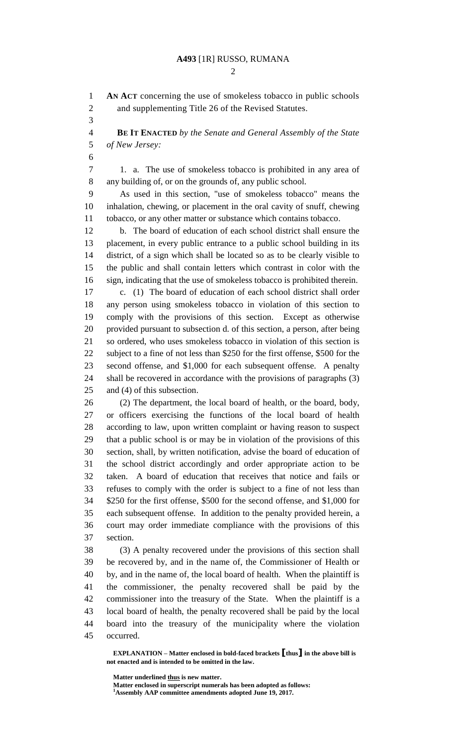## **A493** [1R] RUSSO, RUMANA

 **AN ACT** concerning the use of smokeless tobacco in public schools and supplementing Title 26 of the Revised Statutes.

 **BE IT ENACTED** *by the Senate and General Assembly of the State of New Jersey:*

 1. a. The use of smokeless tobacco is prohibited in any area of any building of, or on the grounds of, any public school.

 As used in this section, "use of smokeless tobacco" means the inhalation, chewing, or placement in the oral cavity of snuff, chewing tobacco, or any other matter or substance which contains tobacco.

 b. The board of education of each school district shall ensure the placement, in every public entrance to a public school building in its district, of a sign which shall be located so as to be clearly visible to the public and shall contain letters which contrast in color with the sign, indicating that the use of smokeless tobacco is prohibited therein.

 c. (1) The board of education of each school district shall order any person using smokeless tobacco in violation of this section to comply with the provisions of this section. Except as otherwise provided pursuant to subsection d. of this section, a person, after being so ordered, who uses smokeless tobacco in violation of this section is subject to a fine of not less than \$250 for the first offense, \$500 for the second offense, and \$1,000 for each subsequent offense. A penalty shall be recovered in accordance with the provisions of paragraphs (3) and (4) of this subsection.

 (2) The department, the local board of health, or the board, body, or officers exercising the functions of the local board of health according to law, upon written complaint or having reason to suspect that a public school is or may be in violation of the provisions of this section, shall, by written notification, advise the board of education of the school district accordingly and order appropriate action to be taken. A board of education that receives that notice and fails or refuses to comply with the order is subject to a fine of not less than \$250 for the first offense, \$500 for the second offense, and \$1,000 for each subsequent offense. In addition to the penalty provided herein, a court may order immediate compliance with the provisions of this section.

 (3) A penalty recovered under the provisions of this section shall be recovered by, and in the name of, the Commissioner of Health or by, and in the name of, the local board of health. When the plaintiff is the commissioner, the penalty recovered shall be paid by the commissioner into the treasury of the State. When the plaintiff is a local board of health, the penalty recovered shall be paid by the local board into the treasury of the municipality where the violation occurred.

**EXPLANATION – Matter enclosed in bold-faced brackets [thus] in the above bill is not enacted and is intended to be omitted in the law.**

**Matter enclosed in superscript numerals has been adopted as follows: Assembly AAP committee amendments adopted June 19, 2017.**